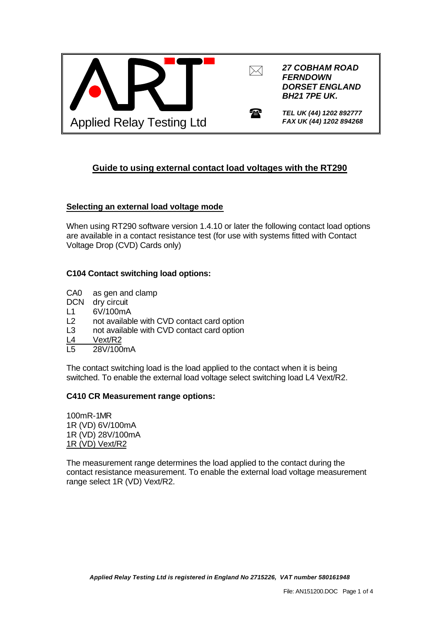

# **Guide to using external contact load voltages with the RT290**

#### **Selecting an external load voltage mode**

When using RT290 software version 1.4.10 or later the following contact load options are available in a contact resistance test (for use with systems fitted with Contact Voltage Drop (CVD) Cards only)

#### **C104 Contact switching load options:**

- CA0 as gen and clamp
- DCN dry circuit
- L1 6V/100mA
- L<sub>2</sub> not available with CVD contact card option
- L3 not available with CVD contact card option
- L4 Vext/R2<br>1.5 28V/100
- 28V/100mA

The contact switching load is the load applied to the contact when it is being switched. To enable the external load voltage select switching load L4 Vext/R2.

#### **C410 CR Measurement range options:**

100mR-1MR 1R (VD) 6V/100mA 1R (VD) 28V/100mA 1R (VD) Vext/R2

The measurement range determines the load applied to the contact during the contact resistance measurement. To enable the external load voltage measurement range select 1R (VD) Vext/R2.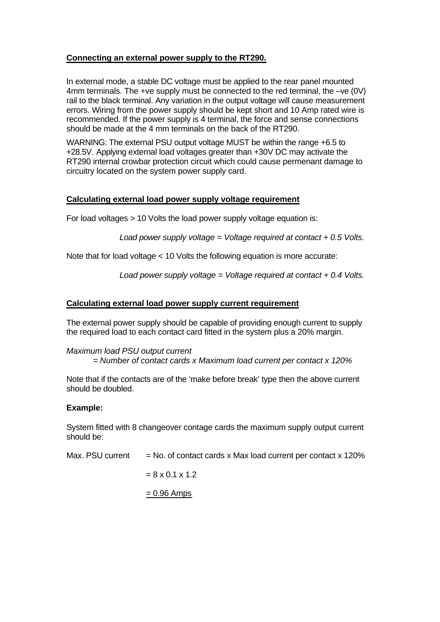### **Connecting an external power supply to the RT290.**

In external mode, a stable DC voltage must be applied to the rear panel mounted 4mm terminals. The +ve supply must be connected to the red terminal, the –ve (0V) rail to the black terminal. Any variation in the output voltage will cause measurement errors. Wiring from the power supply should be kept short and 10 Amp rated wire is recommended. If the power supply is 4 terminal, the force and sense connections should be made at the 4 mm terminals on the back of the RT290.

WARNING: The external PSU output voltage MUST be within the range +6.5 to +28.5V. Applying external load voltages greater than +30V DC may activate the RT290 internal crowbar protection circuit which could cause permenant damage to circuitry located on the system power supply card.

## **Calculating external load power supply voltage requirement**

For load voltages > 10 Volts the load power supply voltage equation is:

*Load power supply voltage = Voltage required at contact + 0.5 Volts.*

Note that for load voltage < 10 Volts the following equation is more accurate:

*Load power supply voltage = Voltage required at contact + 0.4 Volts.*

#### **Calculating external load power supply current requirement**

The external power supply should be capable of providing enough current to supply the required load to each contact card fitted in the system plus a 20% margin.

*Maximum load PSU output current = Number of contact cards x Maximum load current per contact x 120%*

Note that if the contacts are of the 'make before break' type then the above current should be doubled.

#### **Example:**

System fitted with 8 changeover contage cards the maximum supply output current should be:

| Max. PSU current | $=$ No. of contact cards x Max load current per contact x 120% |
|------------------|----------------------------------------------------------------|
|                  | $= 8 \times 0.1 \times 1.2$                                    |
|                  | $= 0.96$ Amps                                                  |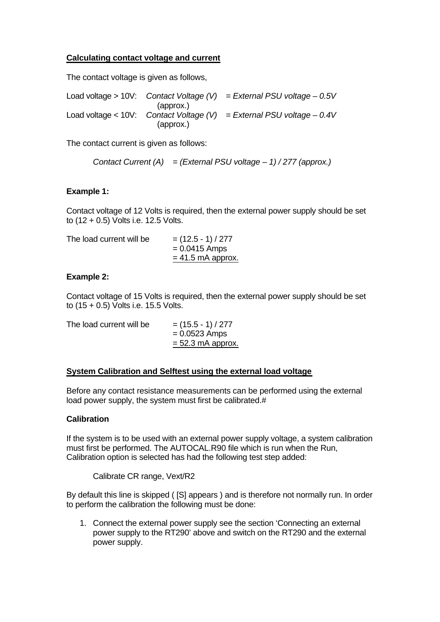## **Calculating contact voltage and current**

The contact voltage is given as follows,

Load voltage > 10V: *Contact Voltage (V) = External PSU voltage – 0.5V* (approx.) Load voltage < 10V: *Contact Voltage (V) = External PSU voltage – 0.4V* (approx.)

The contact current is given as follows:

*Contact Current (A) = (External PSU voltage – 1) / 277 (approx.)*

## **Example 1:**

Contact voltage of 12 Volts is required, then the external power supply should be set to (12 + 0.5) Volts i.e. 12.5 Volts.

| The load current will be | $=$ (12.5 - 1) / 277 |
|--------------------------|----------------------|
|                          | $= 0.0415$ Amps      |
|                          | $= 41.5$ mA approx.  |

## **Example 2:**

Contact voltage of 15 Volts is required, then the external power supply should be set to (15 + 0.5) Volts i.e. 15.5 Volts.

| The load current will be | $=$ (15.5 - 1) / 277 |
|--------------------------|----------------------|
|                          | $= 0.0523$ Amps      |
|                          | $= 52.3$ mA approx.  |

#### **System Calibration and Selftest using the external load voltage**

Before any contact resistance measurements can be performed using the external load power supply, the system must first be calibrated.#

#### **Calibration**

If the system is to be used with an external power supply voltage, a system calibration must first be performed. The AUTOCAL.R90 file which is run when the Run, Calibration option is selected has had the following test step added:

Calibrate CR range, Vext/R2

By default this line is skipped ( [S] appears ) and is therefore not normally run. In order to perform the calibration the following must be done:

1. Connect the external power supply see the section 'Connecting an external power supply to the RT290' above and switch on the RT290 and the external power supply.